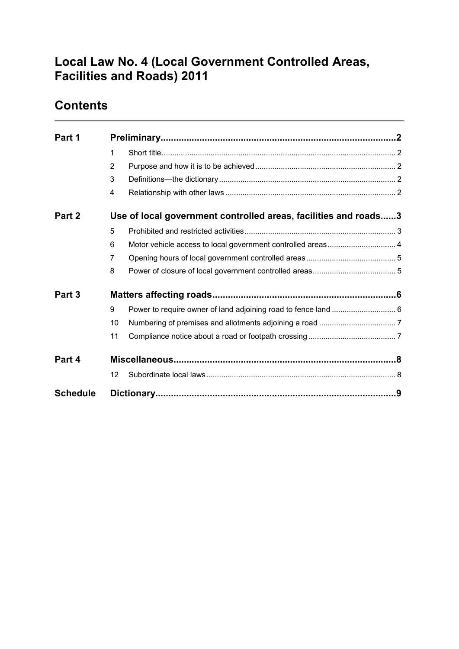# **Local Law No. 4 (Local Government Controlled Areas, Facilities and Roads) 2011**

# **Contents**

| Part 1          |                                                                 |                                                             |  |
|-----------------|-----------------------------------------------------------------|-------------------------------------------------------------|--|
|                 | 1                                                               |                                                             |  |
|                 | 2                                                               |                                                             |  |
|                 | 3                                                               |                                                             |  |
|                 | $\overline{4}$                                                  |                                                             |  |
| Part 2          | Use of local government controlled areas, facilities and roads3 |                                                             |  |
|                 | 5                                                               |                                                             |  |
|                 | 6                                                               | Motor vehicle access to local government controlled areas 4 |  |
|                 | 7                                                               |                                                             |  |
|                 | 8                                                               |                                                             |  |
| Part 3          |                                                                 |                                                             |  |
|                 | 9                                                               |                                                             |  |
|                 | 10                                                              |                                                             |  |
|                 | 11                                                              |                                                             |  |
| Part 4          |                                                                 |                                                             |  |
|                 | $12 \overline{ }$                                               |                                                             |  |
| <b>Schedule</b> |                                                                 |                                                             |  |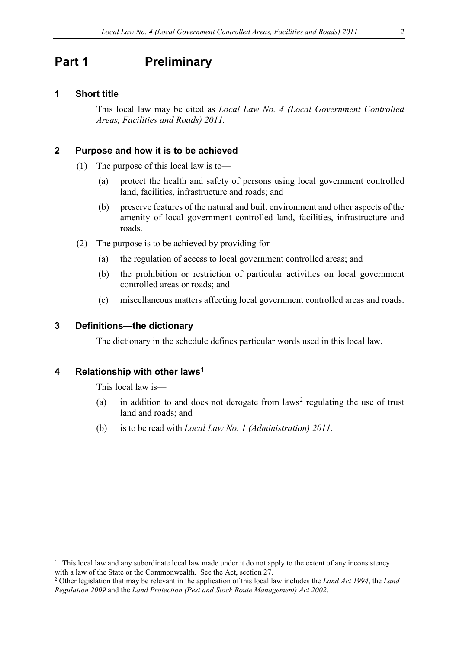### <span id="page-1-0"></span>**Part 1 Preliminary**

#### <span id="page-1-1"></span>**1 Short title**

This local law may be cited as *Local Law No. 4 (Local Government Controlled Areas, Facilities and Roads) 2011.*

#### <span id="page-1-2"></span>**2 Purpose and how it is to be achieved**

- (1) The purpose of this local law is to—
	- (a) protect the health and safety of persons using local government controlled land, facilities, infrastructure and roads; and
	- (b) preserve features of the natural and built environment and other aspects of the amenity of local government controlled land, facilities, infrastructure and roads.
- (2) The purpose is to be achieved by providing for—
	- (a) the regulation of access to local government controlled areas; and
	- (b) the prohibition or restriction of particular activities on local government controlled areas or roads; and
	- (c) miscellaneous matters affecting local government controlled areas and roads.

### <span id="page-1-3"></span>**3 Definitions—the dictionary**

The dictionary in the schedule defines particular words used in this local law.

### <span id="page-1-4"></span>**4 Relationship with other laws**[1](#page-1-5)

<u>.</u>

This local law is—

- (a) in addition to and does not derogate from  $laws<sup>2</sup>$  $laws<sup>2</sup>$  $laws<sup>2</sup>$  regulating the use of trust land and roads; and
- (b) is to be read with *Local Law No. 1 (Administration) 2011*.

<span id="page-1-5"></span><sup>&</sup>lt;sup>1</sup> This local law and any subordinate local law made under it do not apply to the extent of any inconsistency with a law of the State or the Commonwealth. See the Act, section 27.

<span id="page-1-6"></span><sup>2</sup> Other legislation that may be relevant in the application of this local law includes the *Land Act 1994*, the *Land Regulation 2009* and the *Land Protection (Pest and Stock Route Management) Act 2002*.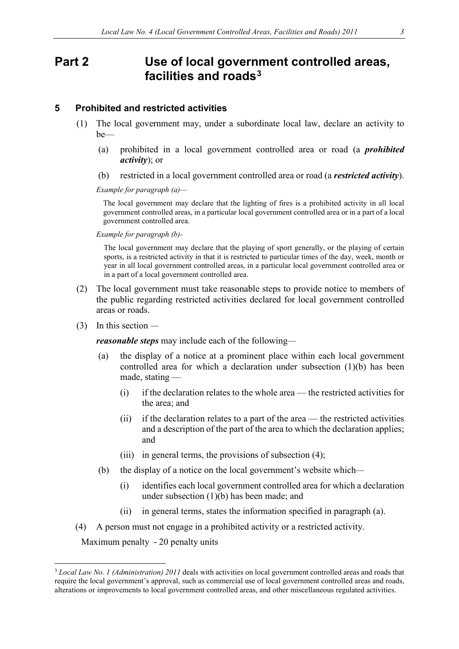## <span id="page-2-0"></span>**Part 2 Use of local government controlled areas, facilities and roads[3](#page-2-2)**

#### <span id="page-2-1"></span>**5 Prohibited and restricted activities**

- (1) The local government may, under a subordinate local law, declare an activity to be—
	- (a) prohibited in a local government controlled area or road (a *prohibited activity*); or
	- (b) restricted in a local government controlled area or road (a *restricted activity*).

*Example for paragraph (a)—*

The local government may declare that the lighting of fires is a prohibited activity in all local government controlled areas, in a particular local government controlled area or in a part of a local government controlled area.

*Example for paragraph (b)-*

The local government may declare that the playing of sport generally, or the playing of certain sports, is a restricted activity in that it is restricted to particular times of the day, week, month or year in all local government controlled areas, in a particular local government controlled area or in a part of a local government controlled area.

- (2) The local government must take reasonable steps to provide notice to members of the public regarding restricted activities declared for local government controlled areas or roads.
- (3) In this section *—*

*reasonable steps* may include each of the following*—*

- (a) the display of a notice at a prominent place within each local government controlled area for which a declaration under subsection (1)(b) has been made, stating —
	- (i) if the declaration relates to the whole area the restricted activities for the area; and
	- (ii) if the declaration relates to a part of the area the restricted activities and a description of the part of the area to which the declaration applies; and
	- (iii) in general terms, the provisions of subsection (4);
- (b) the display of a notice on the local government's website which*—*
	- (i) identifies each local government controlled area for which a declaration under subsection (1)(b) has been made; and
	- (ii) in general terms, states the information specified in paragraph (a).
- (4) A person must not engage in a prohibited activity or a restricted activity.

Maximum penalty - 20 penalty units

<span id="page-2-2"></span> <sup>3</sup> *Local Law No. 1 (Administration) 2011* deals with activities on local government controlled areas and roads that require the local government's approval, such as commercial use of local government controlled areas and roads, alterations or improvements to local government controlled areas, and other miscellaneous regulated activities.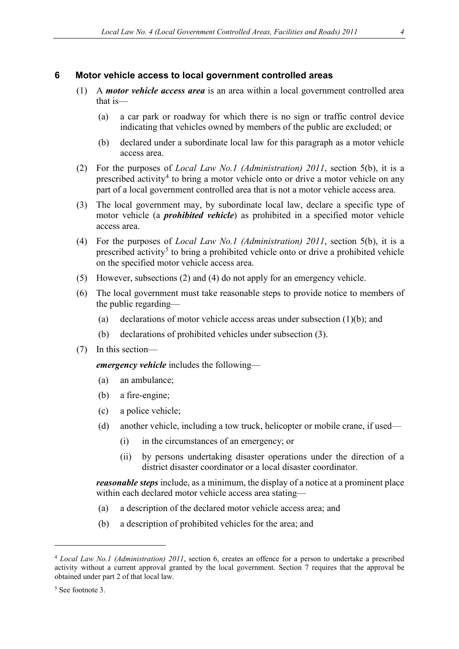#### <span id="page-3-0"></span>**6 Motor vehicle access to local government controlled areas**

- (1) A *motor vehicle access area* is an area within a local government controlled area that is—
	- (a) a car park or roadway for which there is no sign or traffic control device indicating that vehicles owned by members of the public are excluded; or
	- (b) declared under a subordinate local law for this paragraph as a motor vehicle access area.
- (2) For the purposes of *Local Law No.1 (Administration) 2011*, section 5(b), it is a prescribed activity<sup>[4](#page-3-1)</sup> to bring a motor vehicle onto or drive a motor vehicle on any part of a local government controlled area that is not a motor vehicle access area.
- (3) The local government may, by subordinate local law, declare a specific type of motor vehicle (a *prohibited vehicle*) as prohibited in a specified motor vehicle access area.
- (4) For the purposes of *Local Law No.1 (Administration) 2011*, section 5(b), it is a prescribed activity<sup>[5](#page-3-2)</sup> to bring a prohibited vehicle onto or drive a prohibited vehicle on the specified motor vehicle access area.
- (5) However, subsections (2) and (4) do not apply for an emergency vehicle.
- (6) The local government must take reasonable steps to provide notice to members of the public regarding—
	- (a) declarations of motor vehicle access areas under subsection (1)(b); and
	- (b) declarations of prohibited vehicles under subsection (3).
- (7) In this section—

*emergency vehicle* includes the following—

- (a) an ambulance;
- (b) a fire-engine;
- (c) a police vehicle;
- (d) another vehicle, including a tow truck, helicopter or mobile crane, if used—
	- (i) in the circumstances of an emergency; or
	- (ii) by persons undertaking disaster operations under the direction of a district disaster coordinator or a local disaster coordinator.

*reasonable steps* include, as a minimum, the display of a notice at a prominent place within each declared motor vehicle access area stating—

- (a) a description of the declared motor vehicle access area; and
- (b) a description of prohibited vehicles for the area; and

<u>.</u>

<span id="page-3-1"></span><sup>4</sup> *Local Law No.1 (Administration) 2011*, section 6, creates an offence for a person to undertake a prescribed activity without a current approval granted by the local government. Section 7 requires that the approval be obtained under part 2 of that local law.

<span id="page-3-2"></span><sup>5</sup> See footnote 3.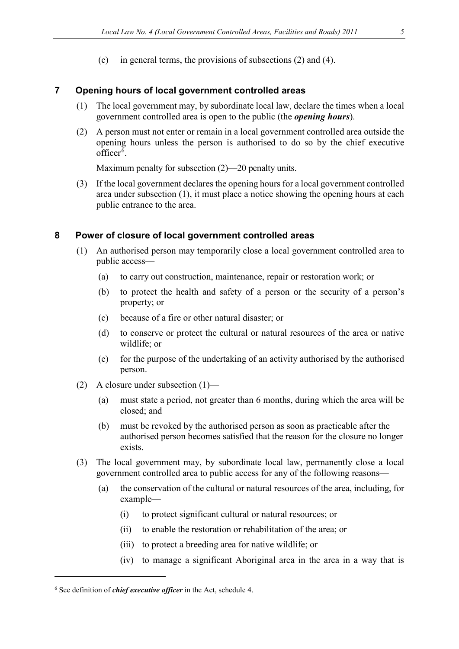(c) in general terms, the provisions of subsections (2) and (4).

#### <span id="page-4-0"></span>**7 Opening hours of local government controlled areas**

- (1) The local government may, by subordinate local law, declare the times when a local government controlled area is open to the public (the *opening hours*).
- (2) A person must not enter or remain in a local government controlled area outside the opening hours unless the person is authorised to do so by the chief executive officer<sup>[6](#page-4-2)</sup>.

Maximum penalty for subsection (2)—20 penalty units.

(3) If the local government declares the opening hours for a local government controlled area under subsection (1), it must place a notice showing the opening hours at each public entrance to the area.

#### <span id="page-4-1"></span>**8 Power of closure of local government controlled areas**

- (1) An authorised person may temporarily close a local government controlled area to public access—
	- (a) to carry out construction, maintenance, repair or restoration work; or
	- (b) to protect the health and safety of a person or the security of a person's property; or
	- (c) because of a fire or other natural disaster; or
	- (d) to conserve or protect the cultural or natural resources of the area or native wildlife; or
	- (e) for the purpose of the undertaking of an activity authorised by the authorised person.
- (2) A closure under subsection (1)—
	- (a) must state a period, not greater than 6 months, during which the area will be closed; and
	- (b) must be revoked by the authorised person as soon as practicable after the authorised person becomes satisfied that the reason for the closure no longer exists.
- (3) The local government may, by subordinate local law, permanently close a local government controlled area to public access for any of the following reasons—
	- (a) the conservation of the cultural or natural resources of the area, including, for example—
		- (i) to protect significant cultural or natural resources; or
		- (ii) to enable the restoration or rehabilitation of the area; or
		- (iii) to protect a breeding area for native wildlife; or
		- (iv) to manage a significant Aboriginal area in the area in a way that is

<u>.</u>

<span id="page-4-2"></span><sup>6</sup> See definition of *chief executive officer* in the Act, schedule 4.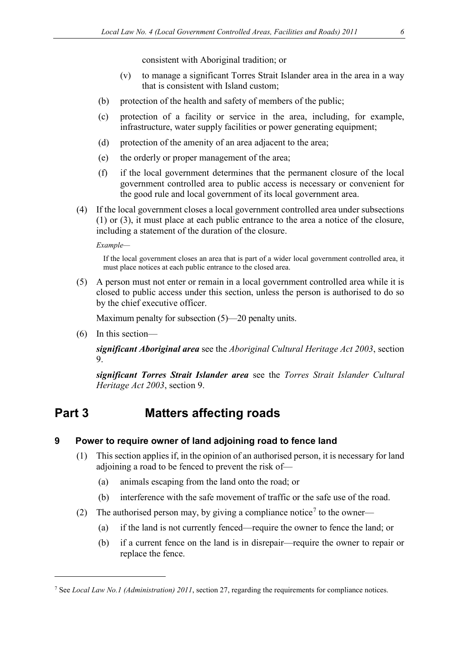consistent with Aboriginal tradition; or

- (v) to manage a significant Torres Strait Islander area in the area in a way that is consistent with Island custom;
- (b) protection of the health and safety of members of the public;
- (c) protection of a facility or service in the area, including, for example, infrastructure, water supply facilities or power generating equipment;
- (d) protection of the amenity of an area adjacent to the area;
- (e) the orderly or proper management of the area;
- (f) if the local government determines that the permanent closure of the local government controlled area to public access is necessary or convenient for the good rule and local government of its local government area.
- (4) If the local government closes a local government controlled area under subsections (1) or (3), it must place at each public entrance to the area a notice of the closure, including a statement of the duration of the closure.

*Example—*

If the local government closes an area that is part of a wider local government controlled area, it must place notices at each public entrance to the closed area.

(5) A person must not enter or remain in a local government controlled area while it is closed to public access under this section, unless the person is authorised to do so by the chief executive officer.

Maximum penalty for subsection (5)—20 penalty units.

(6) In this section—

<u>.</u>

*significant Aboriginal area* see the *Aboriginal Cultural Heritage Act 2003*, section 9.

*significant Torres Strait Islander area* see the *Torres Strait Islander Cultural Heritage Act 2003*, section 9.

# <span id="page-5-0"></span>**Part 3 Matters affecting roads**

### <span id="page-5-1"></span>**9 Power to require owner of land adjoining road to fence land**

- (1) This section applies if, in the opinion of an authorised person, it is necessary for land adjoining a road to be fenced to prevent the risk of—
	- (a) animals escaping from the land onto the road; or
	- (b) interference with the safe movement of traffic or the safe use of the road.
- (2) The authorised person may, by giving a compliance notice<sup>[7](#page-5-2)</sup> to the owner—
	- (a) if the land is not currently fenced—require the owner to fence the land; or
	- (b) if a current fence on the land is in disrepair—require the owner to repair or replace the fence.

<span id="page-5-2"></span><sup>7</sup> See *Local Law No.1 (Administration) 2011*, section 27, regarding the requirements for compliance notices.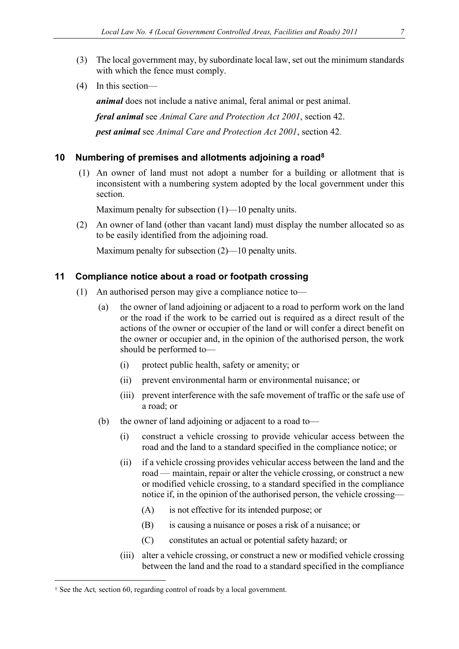- (3) The local government may, by subordinate local law, set out the minimum standards with which the fence must comply.
- (4) In this section—

*animal* does not include a native animal, feral animal or pest animal. *feral animal* see *Animal Care and Protection Act 2001*, section 42. *pest animal* see *Animal Care and Protection Act 2001*, section 42*.*

#### <span id="page-6-0"></span>**10 Numbering of premises and allotments adjoining a road[8](#page-6-2)**

(1)An owner of land must not adopt a number for a building or allotment that is inconsistent with a numbering system adopted by the local government under this section.

Maximum penalty for subsection (1)—10 penalty units.

(2) An owner of land (other than vacant land) must display the number allocated so as to be easily identified from the adjoining road.

Maximum penalty for subsection (2)—10 penalty units.

#### <span id="page-6-1"></span>**11 Compliance notice about a road or footpath crossing**

- (1) An authorised person may give a compliance notice to—
	- (a) the owner of land adjoining or adjacent to a road to perform work on the land or the road if the work to be carried out is required as a direct result of the actions of the owner or occupier of the land or will confer a direct benefit on the owner or occupier and, in the opinion of the authorised person, the work should be performed to—
		- (i) protect public health, safety or amenity; or
		- (ii) prevent environmental harm or environmental nuisance; or
		- (iii) prevent interference with the safe movement of traffic or the safe use of a road; or
	- (b) the owner of land adjoining or adjacent to a road to—
		- (i) construct a vehicle crossing to provide vehicular access between the road and the land to a standard specified in the compliance notice; or
		- (ii) if a vehicle crossing provides vehicular access between the land and the road — maintain, repair or alter the vehicle crossing, or construct a new or modified vehicle crossing, to a standard specified in the compliance notice if, in the opinion of the authorised person, the vehicle crossing—
			- (A) is not effective for its intended purpose; or
			- (B) is causing a nuisance or poses a risk of a nuisance; or
			- (C) constitutes an actual or potential safety hazard; or
		- (iii) alter a vehicle crossing, or construct a new or modified vehicle crossing between the land and the road to a standard specified in the compliance

<u>.</u>

<span id="page-6-2"></span><sup>&</sup>lt;sup>8</sup> See the Act, section 60, regarding control of roads by a local government.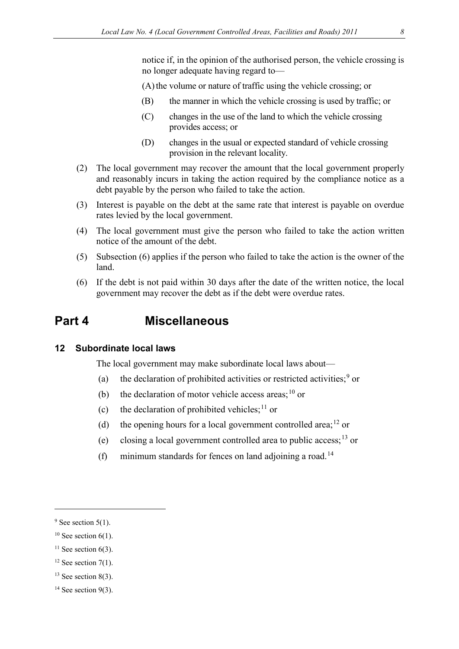notice if, in the opinion of the authorised person, the vehicle crossing is no longer adequate having regard to—

(A) the volume or nature of traffic using the vehicle crossing; or

- (B) the manner in which the vehicle crossing is used by traffic; or
- (C) changes in the use of the land to which the vehicle crossing provides access; or
- (D) changes in the usual or expected standard of vehicle crossing provision in the relevant locality.
- (2) The local government may recover the amount that the local government properly and reasonably incurs in taking the action required by the compliance notice as a debt payable by the person who failed to take the action.
- (3) Interest is payable on the debt at the same rate that interest is payable on overdue rates levied by the local government.
- (4) The local government must give the person who failed to take the action written notice of the amount of the debt.
- (5) Subsection (6) applies if the person who failed to take the action is the owner of the land.
- (6) If the debt is not paid within 30 days after the date of the written notice, the local government may recover the debt as if the debt were overdue rates.

### <span id="page-7-0"></span>**Part 4 Miscellaneous**

#### <span id="page-7-1"></span>**12 Subordinate local laws**

The local government may make subordinate local laws about—

- (a) the declaration of prohibited activities or restricted activities;  $9 \text{ or }$  $9 \text{ or }$
- (b) the declaration of motor vehicle access areas;  $^{10}$  $^{10}$  $^{10}$  or
- (c) the declaration of prohibited vehicles;  $11$  or
- (d) the opening hours for a local government controlled area;<sup>[12](#page-7-5)</sup> or
- (e) closing a local government controlled area to public access;[13](#page-7-6) or
- (f) minimum standards for fences on land adjoining a road.<sup>[14](#page-7-7)</sup>

-

<span id="page-7-4"></span> $11$  See section 6(3).

<span id="page-7-6"></span> $13$  See section 8(3).

<span id="page-7-2"></span> $9$  See section 5(1).

<span id="page-7-3"></span> $10$  See section 6(1).

<span id="page-7-5"></span> $12$  See section 7(1).

<span id="page-7-7"></span> $14$  See section 9(3).